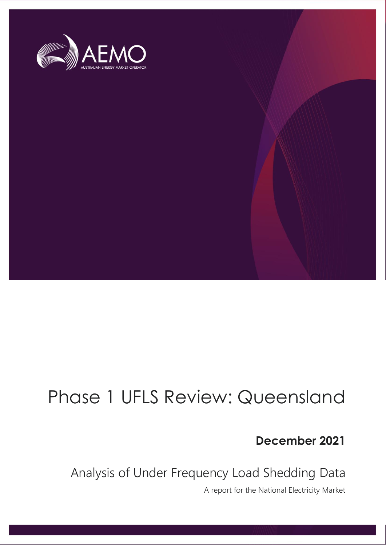

# Phase 1 UFLS Review: Queensland

**December 2021**

Analysis of Under Frequency Load Shedding Data

A report for the National Electricity Market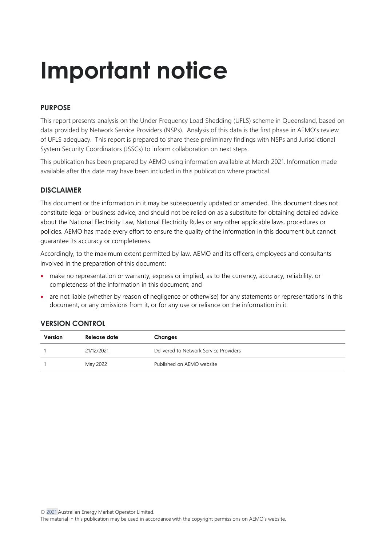# **Important notice**

# **PURPOSE**

This report presents analysis on the Under Frequency Load Shedding (UFLS) scheme in Queensland, based on data provided by Network Service Providers (NSPs). Analysis of this data is the first phase in AEMO's review of UFLS adequacy. This report is prepared to share these preliminary findings with NSPs and Jurisdictional System Security Coordinators (JSSCs) to inform collaboration on next steps.

This publication has been prepared by AEMO using information available at March 2021. Information made available after this date may have been included in this publication where practical.

# **DISCLAIMER**

This document or the information in it may be subsequently updated or amended. This document does not constitute legal or business advice, and should not be relied on as a substitute for obtaining detailed advice about the National Electricity Law, National Electricity Rules or any other applicable laws, procedures or policies. AEMO has made every effort to ensure the quality of the information in this document but cannot guarantee its accuracy or completeness.

Accordingly, to the maximum extent permitted by law, AEMO and its officers, employees and consultants involved in the preparation of this document:

- make no representation or warranty, express or implied, as to the currency, accuracy, reliability, or completeness of the information in this document; and
- are not liable (whether by reason of negligence or otherwise) for any statements or representations in this document, or any omissions from it, or for any use or reliance on the information in it.

# **VERSION CONTROL**

| Version | Release date | Changes                                |
|---------|--------------|----------------------------------------|
|         | 21/12/2021   | Delivered to Network Service Providers |
|         | May 2022     | Published on AEMO website              |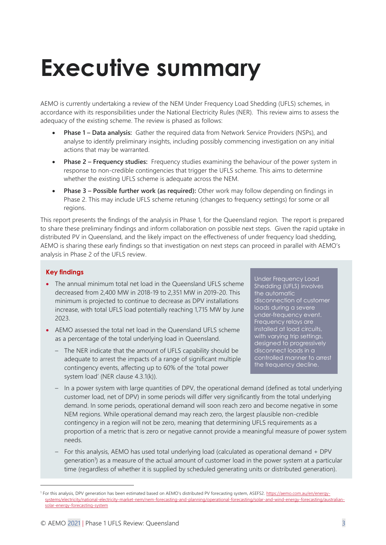# <span id="page-2-0"></span>**Executive summary**

AEMO is currently undertaking a review of the NEM Under Frequency Load Shedding (UFLS) schemes, in accordance with its responsibilities under the National Electricity Rules (NER). This review aims to assess the adequacy of the existing scheme. The review is phased as follows:

- **Phase 1 – Data analysis:** Gather the required data from Network Service Providers (NSPs), and analyse to identify preliminary insights, including possibly commencing investigation on any initial actions that may be warranted.
- **Phase 2 – Frequency studies:** Frequency studies examining the behaviour of the power system in response to non-credible contingencies that trigger the UFLS scheme. This aims to determine whether the existing UFLS scheme is adequate across the NEM.
- **Phase 3 – Possible further work (as required):** Other work may follow depending on findings in Phase 2. This may include UFLS scheme retuning (changes to frequency settings) for some or all regions.

This report presents the findings of the analysis in Phase 1, for the Queensland region. The report is prepared to share these preliminary findings and inform collaboration on possible next steps. Given the rapid uptake in distributed PV in Queensland, and the likely impact on the effectiveness of under frequency load shedding, AEMO is sharing these early findings so that investigation on next steps can proceed in parallel with AEMO's analysis in Phase 2 of the UFLS review.

# **Key findings**

- The annual minimum total net load in the Queensland UFLS scheme decreased from 2,400 MW in 2018-19 to 2,351 MW in 2019-20. This minimum is projected to continue to decrease as DPV installations increase, with total UFLS load potentially reaching 1,715 MW by June 2023.
- AEMO assessed the total net load in the Queensland UFLS scheme as a percentage of the total underlying load in Queensland.
	- The NER indicate that the amount of UFLS capability should be adequate to arrest the impacts of a range of significant multiple contingency events, affecting up to 60% of the 'total power system load' (NER clause 4.3.1(k)).

Under Frequency Load Shedding (UFLS) involves the automatic disconnection of customer loads during a severe under-frequency event. Frequency relays are installed at load circuits, with varying trip settings, designed to progressively disconnect loads in a controlled manner to arrest the frequency decline.

- In a power system with large quantities of DPV, the operational demand (defined as total underlying customer load, net of DPV) in some periods will differ very significantly from the total underlying demand. In some periods, operational demand will soon reach zero and become negative in some NEM regions. While operational demand may reach zero, the largest plausible non-credible contingency in a region will not be zero, meaning that determining UFLS requirements as a proportion of a metric that is zero or negative cannot provide a meaningful measure of power system needs.
- For this analysis, AEMO has used total underlying load (calculated as operational demand + DPV generation<sup>1</sup>) as a measure of the actual amount of customer load in the power system at a particular time (regardless of whether it is supplied by scheduled generating units or distributed generation).

<sup>&</sup>lt;sup>1</sup> For this analysis, DPV generation has been estimated based on AEMO's distributed PV forecasting system, ASEFS2. [https://aemo.com.au/en/energy](https://aemo.com.au/en/energy-systems/electricity/national-electricity-market-nem/nem-forecasting-and-planning/operational-forecasting/solar-and-wind-energy-forecasting/australian-solar-energy-forecasting-system)[systems/electricity/national-electricity-market-nem/nem-forecasting-and-planning/operational-forecasting/solar-and-wind-energy-forecasting/australian](https://aemo.com.au/en/energy-systems/electricity/national-electricity-market-nem/nem-forecasting-and-planning/operational-forecasting/solar-and-wind-energy-forecasting/australian-solar-energy-forecasting-system)[solar-energy-forecasting-system](https://aemo.com.au/en/energy-systems/electricity/national-electricity-market-nem/nem-forecasting-and-planning/operational-forecasting/solar-and-wind-energy-forecasting/australian-solar-energy-forecasting-system)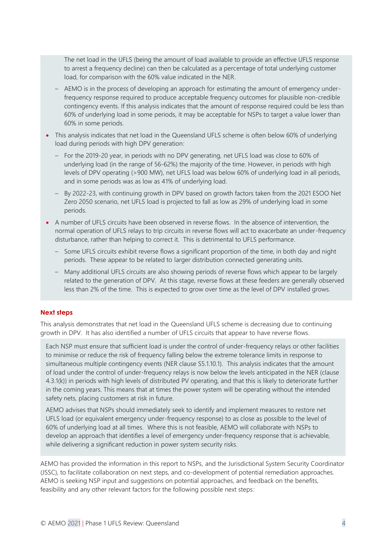The net load in the UFLS (being the amount of load available to provide an effective UFLS response to arrest a frequency decline) can then be calculated as a percentage of total underlying customer load, for comparison with the 60% value indicated in the NER.

- AEMO is in the process of developing an approach for estimating the amount of emergency underfrequency response required to produce acceptable frequency outcomes for plausible non-credible contingency events. If this analysis indicates that the amount of response required could be less than 60% of underlying load in some periods, it may be acceptable for NSPs to target a value lower than 60% in some periods.
- This analysis indicates that net load in the Queensland UFLS scheme is often below 60% of underlying load during periods with high DPV generation:
	- For the 2019-20 year, in periods with no DPV generating, net UFLS load was close to 60% of underlying load (in the range of 56-62%) the majority of the time. However, in periods with high levels of DPV operating (>900 MW), net UFLS load was below 60% of underlying load in all periods, and in some periods was as low as 41% of underlying load.
	- By 2022-23, with continuing growth in DPV based on growth factors taken from the 2021 ESOO Net Zero 2050 scenario, net UFLS load is projected to fall as low as 29% of underlying load in some periods.
- A number of UFLS circuits have been observed in reverse flows. In the absence of intervention, the normal operation of UFLS relays to trip circuits in reverse flows will act to exacerbate an under-frequency disturbance, rather than helping to correct it. This is detrimental to UFLS performance.
	- Some UFLS circuits exhibit reverse flows a significant proportion of the time, in both day and night periods. These appear to be related to larger distribution connected generating units.
	- Many additional UFLS circuits are also showing periods of reverse flows which appear to be largely related to the generation of DPV. At this stage, reverse flows at these feeders are generally observed less than 2% of the time. This is expected to grow over time as the level of DPV installed grows.

### **Next steps**

This analysis demonstrates that net load in the Queensland UFLS scheme is decreasing due to continuing growth in DPV. It has also identified a number of UFLS circuits that appear to have reverse flows.

Each NSP must ensure that sufficient load is under the control of under-frequency relays or other facilities to minimise or reduce the risk of frequency falling below the extreme tolerance limits in response to simultaneous multiple contingency events (NER clause S5.1.10.1). This analysis indicates that the amount of load under the control of under-frequency relays is now below the levels anticipated in the NER (clause 4.3.1(k)) in periods with high levels of distributed PV operating, and that this is likely to deteriorate further in the coming years. This means that at times the power system will be operating without the intended safety nets, placing customers at risk in future.

AEMO advises that NSPs should immediately seek to identify and implement measures to restore net UFLS load (or equivalent emergency under-frequency response) to as close as possible to the level of 60% of underlying load at all times. Where this is not feasible, AEMO will collaborate with NSPs to develop an approach that identifies a level of emergency under-frequency response that is achievable, while delivering a significant reduction in power system security risks.

AEMO has provided the information in this report to NSPs, and the Jurisdictional System Security Coordinator (JSSC), to facilitate collaboration on next steps, and co-development of potential remediation approaches. AEMO is seeking NSP input and suggestions on potential approaches, and feedback on the benefits, feasibility and any other relevant factors for the following possible next steps: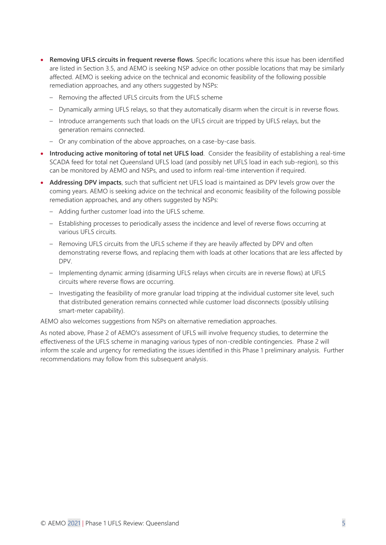- **Removing UFLS circuits in frequent reverse flows**. Specific locations where this issue has been identified are listed in Section [3.5,](#page-25-0) and AEMO is seeking NSP advice on other possible locations that may be similarly affected. AEMO is seeking advice on the technical and economic feasibility of the following possible remediation approaches, and any others suggested by NSPs:
	- Removing the affected UFLS circuits from the UFLS scheme
	- Dynamically arming UFLS relays, so that they automatically disarm when the circuit is in reverse flows.
	- Introduce arrangements such that loads on the UFLS circuit are tripped by UFLS relays, but the generation remains connected.
	- Or any combination of the above approaches, on a case-by-case basis.
- **Introducing active monitoring of total net UFLS load**. Consider the feasibility of establishing a real-time SCADA feed for total net Queensland UFLS load (and possibly net UFLS load in each sub-region), so this can be monitored by AEMO and NSPs, and used to inform real-time intervention if required.
- **Addressing DPV impacts**, such that sufficient net UFLS load is maintained as DPV levels grow over the coming years. AEMO is seeking advice on the technical and economic feasibility of the following possible remediation approaches, and any others suggested by NSPs:
	- Adding further customer load into the UFLS scheme.
	- Establishing processes to periodically assess the incidence and level of reverse flows occurring at various UFLS circuits.
	- Removing UFLS circuits from the UFLS scheme if they are heavily affected by DPV and often demonstrating reverse flows, and replacing them with loads at other locations that are less affected by DPV.
	- Implementing dynamic arming (disarming UFLS relays when circuits are in reverse flows) at UFLS circuits where reverse flows are occurring.
	- Investigating the feasibility of more granular load tripping at the individual customer site level, such that distributed generation remains connected while customer load disconnects (possibly utilising smart-meter capability).

AEMO also welcomes suggestions from NSPs on alternative remediation approaches.

As noted above, Phase 2 of AEMO's assessment of UFLS will involve frequency studies, to determine the effectiveness of the UFLS scheme in managing various types of non-credible contingencies. Phase 2 will inform the scale and urgency for remediating the issues identified in this Phase 1 preliminary analysis. Further recommendations may follow from this subsequent analysis.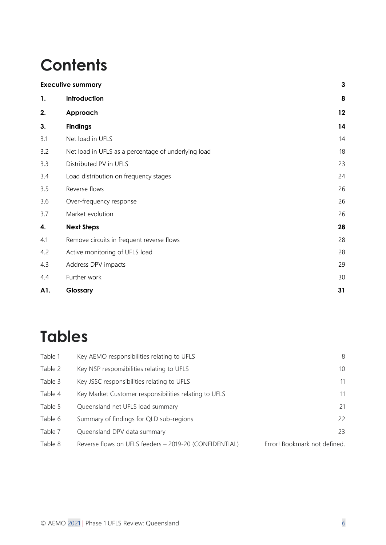# **Contents**

|     | <b>Executive summary</b>                            | 3  |
|-----|-----------------------------------------------------|----|
| 1.  | Introduction                                        | 8  |
| 2.  | Approach                                            | 12 |
| 3.  | <b>Findings</b>                                     | 14 |
| 3.1 | Net load in UFLS                                    | 14 |
| 3.2 | Net load in UFLS as a percentage of underlying load | 18 |
| 3.3 | Distributed PV in UFLS                              | 23 |
| 3.4 | Load distribution on frequency stages               | 24 |
| 3.5 | Reverse flows                                       | 26 |
| 3.6 | Over-frequency response                             | 26 |
| 3.7 | Market evolution                                    | 26 |
| 4.  | <b>Next Steps</b>                                   | 28 |
| 4.1 | Remove circuits in frequent reverse flows           | 28 |
| 4.2 | Active monitoring of UFLS load                      | 28 |
| 4.3 | Address DPV impacts                                 | 29 |
| 4.4 | Further work                                        | 30 |
| A1. | Glossary                                            | 31 |
|     |                                                     |    |

# **Tables**

| Table 1 | Key AEMO responsibilities relating to UFLS             | 8                            |
|---------|--------------------------------------------------------|------------------------------|
| Table 2 | Key NSP responsibilities relating to UFLS              | 10 <sup>°</sup>              |
| Table 3 | Key JSSC responsibilities relating to UFLS             | 11                           |
| Table 4 | Key Market Customer responsibilities relating to UFLS  | 11                           |
| Table 5 | Queensland net UFLS load summary                       | 21                           |
| Table 6 | Summary of findings for QLD sub-regions                | 22                           |
| Table 7 | Queensland DPV data summary                            | 23                           |
| Table 8 | Reverse flows on UFLS feeders - 2019-20 (CONFIDENTIAL) | Error! Bookmark not defined. |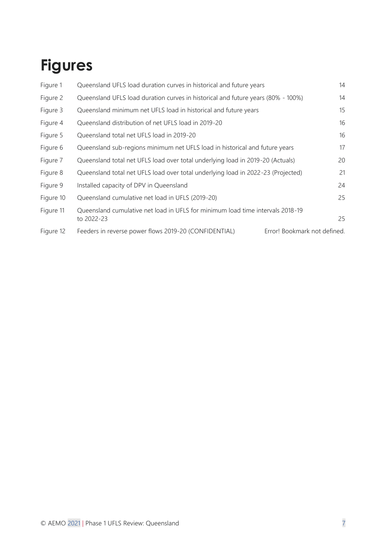# **Figures**

| Figure 1  | Queensland UFLS load duration curves in historical and future years                          |                              |    |
|-----------|----------------------------------------------------------------------------------------------|------------------------------|----|
| Figure 2  | Queensland UFLS load duration curves in historical and future years (80% - 100%)             |                              |    |
| Figure 3  | Queensland minimum net UFLS load in historical and future years                              |                              | 15 |
| Figure 4  | Queensland distribution of net UFLS load in 2019-20                                          |                              | 16 |
| Figure 5  | Queensland total net UFLS load in 2019-20                                                    |                              | 16 |
| Figure 6  | Queensland sub-regions minimum net UFLS load in historical and future years                  |                              |    |
| Figure 7  | Queensland total net UFLS load over total underlying load in 2019-20 (Actuals)               |                              |    |
| Figure 8  | Queensland total net UFLS load over total underlying load in 2022-23 (Projected)             |                              |    |
| Figure 9  | Installed capacity of DPV in Queensland                                                      |                              | 24 |
| Figure 10 | Queensland cumulative net load in UFLS (2019-20)                                             |                              | 25 |
| Figure 11 | Queensland cumulative net load in UFLS for minimum load time intervals 2018-19<br>to 2022-23 |                              | 25 |
| Figure 12 | Feeders in reverse power flows 2019-20 (CONFIDENTIAL)                                        | Error! Bookmark not defined. |    |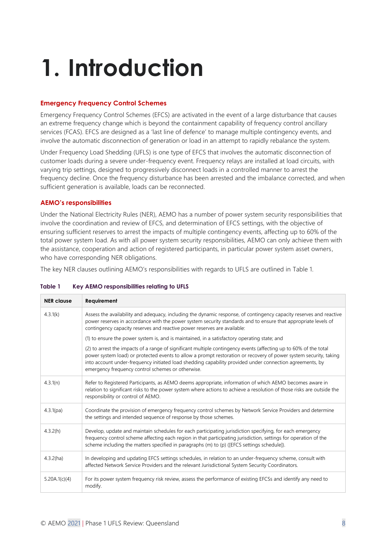# <span id="page-7-0"></span>**1. Introduction**

### **Emergency Frequency Control Schemes**

Emergency Frequency Control Schemes (EFCS) are activated in the event of a large disturbance that causes an extreme frequency change which is beyond the containment capability of frequency control ancillary services (FCAS). EFCS are designed as a 'last line of defence' to manage multiple contingency events, and involve the automatic disconnection of generation or load in an attempt to rapidly rebalance the system.

Under Frequency Load Shedding (UFLS) is one type of EFCS that involves the automatic disconnection of customer loads during a severe under-frequency event. Frequency relays are installed at load circuits, with varying trip settings, designed to progressively disconnect loads in a controlled manner to arrest the frequency decline. Once the frequency disturbance has been arrested and the imbalance corrected, and when sufficient generation is available, loads can be reconnected.

### **AEMO's responsibilities**

Under the National Electricity Rules (NER), AEMO has a number of power system security responsibilities that involve the coordination and review of EFCS, and determination of EFCS settings, with the objective of ensuring sufficient reserves to arrest the impacts of multiple contingency events, affecting up to 60% of the total power system load. As with all power system security responsibilities, AEMO can only achieve them with the assistance, cooperation and action of registered participants, in particular power system asset owners, who have corresponding NER obligations.

The key NER clauses outlining AEMO's responsibilities with regards to UFLS are outlined in [Table 1.](#page-7-1)

| <b>NER</b> clause | Requirement                                                                                                                                                                                                                                                                                                                                                                                             |  |  |
|-------------------|---------------------------------------------------------------------------------------------------------------------------------------------------------------------------------------------------------------------------------------------------------------------------------------------------------------------------------------------------------------------------------------------------------|--|--|
| 4.3.1(k)          | Assess the availability and adequacy, including the dynamic response, of contingency capacity reserves and reactive<br>power reserves in accordance with the power system security standards and to ensure that appropriate levels of<br>contingency capacity reserves and reactive power reserves are available:                                                                                       |  |  |
|                   | (1) to ensure the power system is, and is maintained, in a satisfactory operating state; and                                                                                                                                                                                                                                                                                                            |  |  |
|                   | (2) to arrest the impacts of a range of significant multiple contingency events (affecting up to 60% of the total<br>power system load) or protected events to allow a prompt restoration or recovery of power system security, taking<br>into account under-frequency initiated load shedding capability provided under connection agreements, by<br>emergency frequency control schemes or otherwise. |  |  |
| 4.3.1(n)          | Refer to Registered Participants, as AEMO deems appropriate, information of which AEMO becomes aware in<br>relation to significant risks to the power system where actions to achieve a resolution of those risks are outside the<br>responsibility or control of AEMO.                                                                                                                                 |  |  |
| 4.3.1(pa)         | Coordinate the provision of emergency frequency control schemes by Network Service Providers and determine<br>the settings and intended sequence of response by those schemes.                                                                                                                                                                                                                          |  |  |
| 4.3.2(h)          | Develop, update and maintain schedules for each participating jurisdiction specifying, for each emergency<br>frequency control scheme affecting each region in that participating jurisdiction, settings for operation of the<br>scheme including the matters specified in paragraphs (m) to (p) ([EFCS settings schedule]).                                                                            |  |  |
| 4.3.2(ha)         | In developing and updating EFCS settings schedules, in relation to an under-frequency scheme, consult with<br>affected Network Service Providers and the relevant Jurisdictional System Security Coordinators.                                                                                                                                                                                          |  |  |
| 5.20A.1(c)(4)     | For its power system frequency risk review, assess the performance of existing EFCSs and identify any need to<br>modify.                                                                                                                                                                                                                                                                                |  |  |

#### <span id="page-7-1"></span>**Table 1 Key AEMO responsibilities relating to UFLS**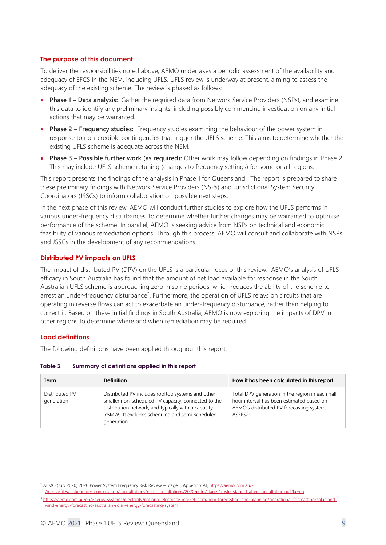### **The purpose of this document**

To deliver the responsibilities noted above, AEMO undertakes a periodic assessment of the availability and adequacy of EFCS in the NEM, including UFLS. UFLS review is underway at present, aiming to assess the adequacy of the existing scheme. The review is phased as follows:

- **Phase 1 – Data analysis:** Gather the required data from Network Service Providers (NSPs), and examine this data to identify any preliminary insights, including possibly commencing investigation on any initial actions that may be warranted.
- **Phase 2 – Frequency studies:** Frequency studies examining the behaviour of the power system in response to non-credible contingencies that trigger the UFLS scheme. This aims to determine whether the existing UFLS scheme is adequate across the NEM.
- **Phase 3 – Possible further work (as required):** Other work may follow depending on findings in Phase 2. This may include UFLS scheme retuning (changes to frequency settings) for some or all regions.

This report presents the findings of the analysis in Phase 1 for Queensland. The report is prepared to share these preliminary findings with Network Service Providers (NSPs) and Jurisdictional System Security Coordinators (JSSCs) to inform collaboration on possible next steps.

In the next phase of this review, AEMO will conduct further studies to explore how the UFLS performs in various under-frequency disturbances, to determine whether further changes may be warranted to optimise performance of the scheme. In parallel, AEMO is seeking advice from NSPs on technical and economic feasibility of various remediation options. Through this process, AEMO will consult and collaborate with NSPs and JSSCs in the development of any recommendations.

## **Distributed PV impacts on UFLS**

The impact of distributed PV (DPV) on the UFLS is a particular focus of this review. AEMO's analysis of UFLS efficacy in South Australia has found that the amount of net load available for response in the South Australian UFLS scheme is approaching zero in some periods, which reduces the ability of the scheme to arrest an under-frequency disturbance<sup>2</sup>. Furthermore, the operation of UFLS relays on circuits that are operating in reverse flows can act to exacerbate an under-frequency disturbance, rather than helping to correct it. Based on these initial findings in South Australia, AEMO is now exploring the impacts of DPV in other regions to determine where and when remediation may be required.

## **Load definitions**

The following definitions have been applied throughout this report:

### **Table 2 Summary of definitions applied in this report**

| Term                         | <b>Definition</b>                                                                                                                                                                                                                | How it has been calculated in this report                                                                                                                        |
|------------------------------|----------------------------------------------------------------------------------------------------------------------------------------------------------------------------------------------------------------------------------|------------------------------------------------------------------------------------------------------------------------------------------------------------------|
| Distributed PV<br>generation | Distributed PV includes rooftop systems and other<br>smaller non-scheduled PV capacity, connected to the<br>distribution network, and typically with a capacity<br><5MW. It excludes scheduled and semi-scheduled<br>generation. | Total DPV generation in the region in each half<br>hour interval has been estimated based on<br>AEMO's distributed PV forecasting system,<br>ASFFS <sub>23</sub> |

<sup>&</sup>lt;sup>2</sup> AEMO (July 2020) 2020 Power System Frequency Risk Review – Stage 1, Appendix A1[, https://aemo.com.au/-](https://aemo.com.au/-/media/files/stakeholder_consultation/consultations/nem-consultations/2020/psfrr/stage-1/psfrr-stage-1-after-consultation.pdf?la=en) [/media/files/stakeholder\\_consultation/consultations/nem-consultations/2020/psfrr/stage-1/psfrr-stage-1-after-consultation.pdf?la=en](https://aemo.com.au/-/media/files/stakeholder_consultation/consultations/nem-consultations/2020/psfrr/stage-1/psfrr-stage-1-after-consultation.pdf?la=en)

<sup>3</sup> [https://aemo.com.au/en/energy-systems/electricity/national-electricity-market-nem/nem-forecasting-and-planning/operational-forecasting/solar-and](https://aemo.com.au/en/energy-systems/electricity/national-electricity-market-nem/nem-forecasting-and-planning/operational-forecasting/solar-and-wind-energy-forecasting/australian-solar-energy-forecasting-system)[wind-energy-forecasting/australian-solar-energy-forecasting-system](https://aemo.com.au/en/energy-systems/electricity/national-electricity-market-nem/nem-forecasting-and-planning/operational-forecasting/solar-and-wind-energy-forecasting/australian-solar-energy-forecasting-system)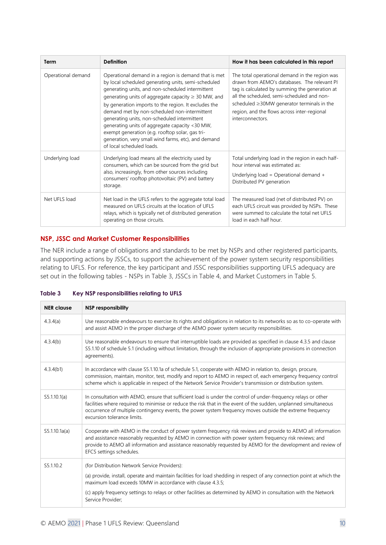| Term               | <b>Definition</b>                                                                                                                                                                                                                                                                                                                                                                                                                                                                                                                                                            | How it has been calculated in this report                                                                                                                                                                                                                                                                            |  |  |
|--------------------|------------------------------------------------------------------------------------------------------------------------------------------------------------------------------------------------------------------------------------------------------------------------------------------------------------------------------------------------------------------------------------------------------------------------------------------------------------------------------------------------------------------------------------------------------------------------------|----------------------------------------------------------------------------------------------------------------------------------------------------------------------------------------------------------------------------------------------------------------------------------------------------------------------|--|--|
| Operational demand | Operational demand in a region is demand that is met<br>by local scheduled generating units, semi-scheduled<br>generating units, and non-scheduled intermittent<br>generating units of aggregate capacity $\geq$ 30 MW, and<br>by generation imports to the region. It excludes the<br>demand met by non-scheduled non-intermittent<br>generating units, non-scheduled intermittent<br>generating units of aggregate capacity <30 MW,<br>exempt generation (e.g. rooftop solar, gas tri-<br>generation, very small wind farms, etc), and demand<br>of local scheduled loads. | The total operational demand in the region was<br>drawn from AEMO's databases. The relevant PI<br>tag is calculated by summing the generation at<br>all the scheduled, semi-scheduled and non-<br>scheduled $\geq$ 30MW generator terminals in the<br>region, and the flows across inter-regional<br>interconnectors |  |  |
| Underlying load    | Underlying load means all the electricity used by<br>consumers, which can be sourced from the grid but<br>also, increasingly, from other sources including<br>consumers' rooftop photovoltaic (PV) and battery<br>storage.                                                                                                                                                                                                                                                                                                                                                   | Total underlying load in the region in each half-<br>hour interval was estimated as:<br>Underlying load = Operational demand +<br>Distributed PV generation                                                                                                                                                          |  |  |
| Net UFLS load      | Net load in the UFLS refers to the aggregate total load<br>measured on UFLS circuits at the location of UFLS<br>relays, which is typically net of distributed generation<br>operating on those circuits.                                                                                                                                                                                                                                                                                                                                                                     | The measured load (net of distributed PV) on<br>each UFLS circuit was provided by NSPs. These<br>were summed to calculate the total net UFLS<br>load in each half hour.                                                                                                                                              |  |  |

### **NSP, JSSC and Market Customer Responsibilities**

The NER include a range of obligations and standards to be met by NSPs and other registered participants, and supporting actions by JSSCs, to support the achievement of the power system security responsibilities relating to UFLS. For reference, the key participant and JSSC responsibilities supporting UFLS adequacy are set out in the following tables - NSPs in [Table 3,](#page-9-0) JSSCs in [Table 4,](#page-10-0) and Market Customers in [Table 5.](#page-10-1)

### <span id="page-9-0"></span>**Table 3 Key NSP responsibilities relating to UFLS**

| <b>NER</b> clause | <b>NSP responsibility</b>                                                                                                                                                                                                                                                                                                                                                      |
|-------------------|--------------------------------------------------------------------------------------------------------------------------------------------------------------------------------------------------------------------------------------------------------------------------------------------------------------------------------------------------------------------------------|
| 4.3.4(a)          | Use reasonable endeavours to exercise its rights and obligations in relation to its networks so as to co-operate with<br>and assist AEMO in the proper discharge of the AEMO power system security responsibilities.                                                                                                                                                           |
| 4.3.4(b)          | Use reasonable endeavours to ensure that interruptible loads are provided as specified in clause 4.3.5 and clause<br>S5.1.10 of schedule 5.1 (including without limitation, through the inclusion of appropriate provisions in connection<br>agreements).                                                                                                                      |
| 4.3.4(b1)         | In accordance with clause S5.1.10.1a of schedule 5.1, cooperate with AEMO in relation to, design, procure,<br>commission, maintain, monitor, test, modify and report to AEMO in respect of, each emergency frequency control<br>scheme which is applicable in respect of the Network Service Provider's transmission or distribution system.                                   |
| S5.1.10.1(a)      | In consultation with AEMO, ensure that sufficient load is under the control of under-frequency relays or other<br>facilities where required to minimise or reduce the risk that in the event of the sudden, unplanned simultaneous<br>occurrence of multiple contingency events, the power system frequency moves outside the extreme frequency<br>excursion tolerance limits. |
| S5.1.10.1a(a)     | Cooperate with AEMO in the conduct of power system frequency risk reviews and provide to AEMO all information<br>and assistance reasonably requested by AEMO in connection with power system frequency risk reviews; and<br>provide to AEMO all information and assistance reasonably requested by AEMO for the development and review of<br>EFCS settings schedules.          |
| S5.1.10.2         | (for Distribution Network Service Providers):                                                                                                                                                                                                                                                                                                                                  |
|                   | (a) provide, install, operate and maintain facilities for load shedding in respect of any connection point at which the<br>maximum load exceeds 10MW in accordance with clause 4.3.5;                                                                                                                                                                                          |
|                   | (c) apply frequency settings to relays or other facilities as determined by AEMO in consultation with the Network<br>Service Provider:                                                                                                                                                                                                                                         |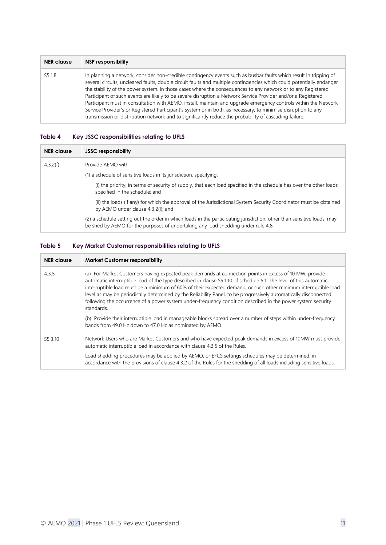| <b>NER</b> clause | NSP responsibility                                                                                                                                                                                                                                                                                                                                                                                                                                                                                                                                                                                                                                                                                                                                                                                                       |
|-------------------|--------------------------------------------------------------------------------------------------------------------------------------------------------------------------------------------------------------------------------------------------------------------------------------------------------------------------------------------------------------------------------------------------------------------------------------------------------------------------------------------------------------------------------------------------------------------------------------------------------------------------------------------------------------------------------------------------------------------------------------------------------------------------------------------------------------------------|
| S5.1.8            | In planning a network, consider non-credible contingency events such as busbar faults which result in tripping of<br>several circuits, uncleared faults, double circuit faults and multiple contingencies which could potentially endanger<br>the stability of the power system. In those cases where the consequences to any network or to any Registered<br>Participant of such events are likely to be severe disruption a Network Service Provider and/or a Registered<br>Participant must in consultation with AEMO, install, maintain and upgrade emergency controls within the Network<br>Service Provider's or Registered Participant's system or in both, as necessary, to minimise disruption to any<br>transmission or distribution network and to significantly reduce the probability of cascading failure. |

### <span id="page-10-0"></span>**Table 4 Key JSSC responsibilities relating to UFLS**

| <b>NER</b> clause | <b>JSSC responsibility</b>                                                                                                                                                                                  |
|-------------------|-------------------------------------------------------------------------------------------------------------------------------------------------------------------------------------------------------------|
| 4.3.2(f)          | Provide AEMO with                                                                                                                                                                                           |
|                   | (1) a schedule of sensitive loads in its jurisdiction, specifying:                                                                                                                                          |
|                   | (i) the priority, in terms of security of supply, that each load specified in the schedule has over the other loads<br>specified in the schedule; and                                                       |
|                   | (ii) the loads (if any) for which the approval of the Jurisdictional System Security Coordinator must be obtained<br>by AEMO under clause 4.3.2(I); and                                                     |
|                   | (2) a schedule setting out the order in which loads in the participating jurisdiction, other than sensitive loads, may<br>be shed by AEMO for the purposes of undertaking any load shedding under rule 4.8. |

### <span id="page-10-1"></span>**Table 5 Key Market Customer responsibilities relating to UFLS**

| <b>NER</b> clause    | <b>Market Customer responsibility</b>                                                                                                                                                                                                                                                                                                                                                                                                                                                                                                                                                                                                                                                                            |
|----------------------|------------------------------------------------------------------------------------------------------------------------------------------------------------------------------------------------------------------------------------------------------------------------------------------------------------------------------------------------------------------------------------------------------------------------------------------------------------------------------------------------------------------------------------------------------------------------------------------------------------------------------------------------------------------------------------------------------------------|
| 4.3.5                | (a) For Market Customers having expected peak demands at connection points in excess of 10 MW, provide<br>automatic interruptible load of the type described in clause S5.1.10 of schedule 5.1. The level of this automatic<br>interruptible load must be a minimum of 60% of their expected demand, or such other minimum interruptible load<br>level as may be periodically determined by the Reliability Panel, to be progressively automatically disconnected<br>following the occurrence of a power system under-frequency condition described in the power system security<br>standards.<br>(b) Provide their interruptible load in manageable blocks spread over a number of steps within under-frequency |
|                      | bands from 49.0 Hz down to 47.0 Hz as nominated by AEMO.                                                                                                                                                                                                                                                                                                                                                                                                                                                                                                                                                                                                                                                         |
| S <sub>5</sub> .3.10 | Network Users who are Market Customers and who have expected peak demands in excess of 10MW must provide<br>automatic interruptible load in accordance with clause 4.3.5 of the Rules.                                                                                                                                                                                                                                                                                                                                                                                                                                                                                                                           |
|                      | Load shedding procedures may be applied by AEMO, or EFCS settings schedules may be determined, in<br>accordance with the provisions of clause 4.3.2 of the Rules for the shedding of all loads including sensitive loads.                                                                                                                                                                                                                                                                                                                                                                                                                                                                                        |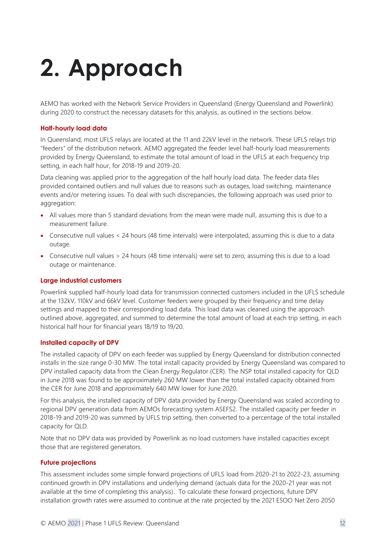# <span id="page-11-0"></span>**2. Approach**

AEMO has worked with the Network Service Providers in Queensland (Energy Queensland and Powerlink) during 2020 to construct the necessary datasets for this analysis, as outlined in the sections below.

### **Half-hourly load data**

In Queensland, most UFLS relays are located at the 11 and 22kV level in the network. These UFLS relays trip "feeders" of the distribution network. AEMO aggregated the feeder level half-hourly load measurements provided by Energy Queensland, to estimate the total amount of load in the UFLS at each frequency trip setting, in each half hour, for 2018-19 and 2019-20.

Data cleaning was applied prior to the aggregation of the half hourly load data. The feeder data files provided contained outliers and null values due to reasons such as outages, load switching, maintenance events and/or metering issues. To deal with such discrepancies, the following approach was used prior to aggregation:

- All values more than 5 standard deviations from the mean were made null, assuming this is due to a measurement failure.
- Consecutive null values < 24 hours (48 time intervals) were interpolated, assuming this is due to a data outage.
- Consecutive null values > 24 hours (48 time intervals) were set to zero, assuming this is due to a load outage or maintenance.

### **Large industrial customers**

Powerlink supplied half-hourly load data for transmission connected customers included in the UFLS schedule at the 132kV, 110kV and 66kV level. Customer feeders were grouped by their frequency and time delay settings and mapped to their corresponding load data. This load data was cleaned using the approach outlined above, aggregated, and summed to determine the total amount of load at each trip setting, in each historical half hour for financial years 18/19 to 19/20.

## **Installed capacity of DPV**

The installed capacity of DPV on each feeder was supplied by Energy Queensland for distribution connected installs in the size range 0-30 MW. The total install capacity provided by Energy Queensland was compared to DPV installed capacity data from the Clean Energy Regulator (CER). The NSP total installed capacity for QLD in June 2018 was found to be approximately 260 MW lower than the total installed capacity obtained from the CER for June 2018 and approximately 640 MW lower for June 2020.

For this analysis, the installed capacity of DPV data provided by Energy Queensland was scaled according to regional DPV generation data from AEMOs forecasting system ASEFS2. The installed capacity per feeder in 2018-19 and 2019-20 was summed by UFLS trip setting, then converted to a percentage of the total installed capacity for QLD.

Note that no DPV data was provided by Powerlink as no load customers have installed capacities except those that are registered generators.

### **Future projections**

This assessment includes some simple forward projections of UFLS load from 2020-21 to 2022-23, assuming continued growth in DPV installations and underlying demand (actuals data for the 2020-21 year was not available at the time of completing this analysis). To calculate these forward projections, future DPV installation growth rates were assumed to continue at the rate projected by the 2021 ESOO Net Zero 2050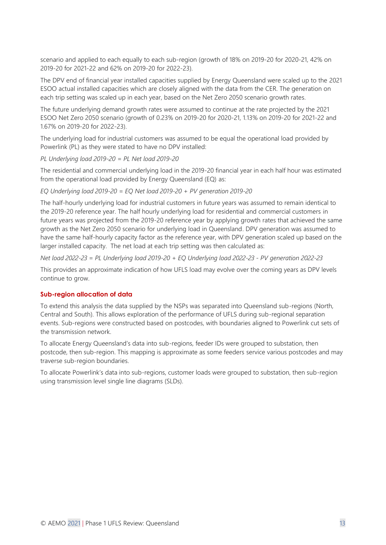scenario and applied to each equally to each sub-region (growth of 18% on 2019-20 for 2020-21, 42% on 2019-20 for 2021-22 and 62% on 2019-20 for 2022-23).

The DPV end of financial year installed capacities supplied by Energy Queensland were scaled up to the 2021 ESOO actual installed capacities which are closely aligned with the data from the CER. The generation on each trip setting was scaled up in each year, based on the Net Zero 2050 scenario growth rates.

The future underlying demand growth rates were assumed to continue at the rate projected by the 2021 ESOO Net Zero 2050 scenario (growth of 0.23% on 2019-20 for 2020-21, 1.13% on 2019-20 for 2021-22 and 1.67% on 2019-20 for 2022-23).

The underlying load for industrial customers was assumed to be equal the operational load provided by Powerlink (PL) as they were stated to have no DPV installed:

*PL Underlying load 2019-20 = PL Net load 2019-20*

The residential and commercial underlying load in the 2019-20 financial year in each half hour was estimated from the operational load provided by Energy Queensland (EQ) as:

*EQ Underlying load 2019-20 = EQ Net load 2019-20 + PV generation 2019-20*

The half-hourly underlying load for industrial customers in future years was assumed to remain identical to the 2019-20 reference year. The half hourly underlying load for residential and commercial customers in future years was projected from the 2019-20 reference year by applying growth rates that achieved the same growth as the Net Zero 2050 scenario for underlying load in Queensland. DPV generation was assumed to have the same half-hourly capacity factor as the reference year, with DPV generation scaled up based on the larger installed capacity. The net load at each trip setting was then calculated as:

*Net load 2022-23 = PL Underlying load 2019-20 + EQ Underlying load 2022-23 - PV generation 2022-23*

This provides an approximate indication of how UFLS load may evolve over the coming years as DPV levels continue to grow.

### **Sub-region allocation of data**

To extend this analysis the data supplied by the NSPs was separated into Queensland sub-regions (North, Central and South). This allows exploration of the performance of UFLS during sub-regional separation events. Sub-regions were constructed based on postcodes, with boundaries aligned to Powerlink cut sets of the transmission network.

To allocate Energy Queensland's data into sub-regions, feeder IDs were grouped to substation, then postcode, then sub-region. This mapping is approximate as some feeders service various postcodes and may traverse sub-region boundaries.

To allocate Powerlink's data into sub-regions, customer loads were grouped to substation, then sub-region using transmission level single line diagrams (SLDs).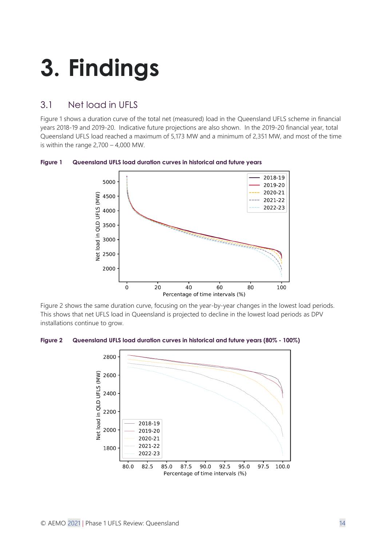# <span id="page-13-0"></span>**3. Findings**

# <span id="page-13-1"></span>3.1 Net load in UFLS

[Figure 1](#page-13-2) shows a duration curve of the total net (measured) load in the Queensland UFLS scheme in financial years 2018-19 and 2019-20. Indicative future projections are also shown. In the 2019-20 financial year, total Queensland UFLS load reached a maximum of 5,173 MW and a minimum of 2,351 MW, and most of the time is within the range  $2,700 - 4,000$  MW.



<span id="page-13-2"></span>**Figure 1 Queensland UFLS load duration curves in historical and future years**

[Figure 2](#page-13-3) shows the same duration curve, focusing on the year-by-year changes in the lowest load periods. This shows that net UFLS load in Queensland is projected to decline in the lowest load periods as DPV installations continue to grow.

<span id="page-13-3"></span>**Figure 2 Queensland UFLS load duration curves in historical and future years (80% - 100%)**

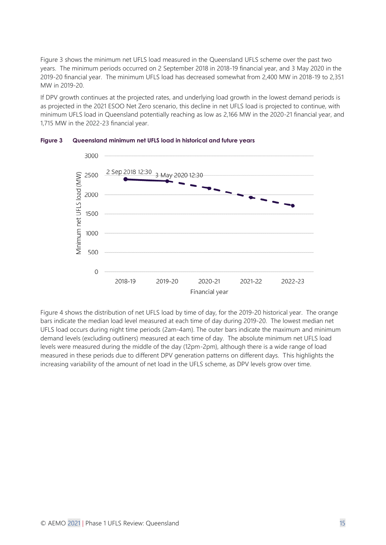[Figure 3](#page-14-0) shows the minimum net UFLS load measured in the Queensland UFLS scheme over the past two years. The minimum periods occurred on 2 September 2018 in 2018-19 financial year, and 3 May 2020 in the 2019-20 financial year. The minimum UFLS load has decreased somewhat from 2,400 MW in 2018-19 to 2,351 MW in 2019-20.

If DPV growth continues at the projected rates, and underlying load growth in the lowest demand periods is as projected in the 2021 ESOO Net Zero scenario, this decline in net UFLS load is projected to continue, with minimum UFLS load in Queensland potentially reaching as low as 2,166 MW in the 2020-21 financial year, and 1,715 MW in the 2022-23 financial year.



<span id="page-14-0"></span>**Figure 3 Queensland minimum net UFLS load in historical and future years**

[Figure 4](#page-15-0) shows the distribution of net UFLS load by time of day, for the 2019-20 historical year. The orange bars indicate the median load level measured at each time of day during 2019-20. The lowest median net UFLS load occurs during night time periods (2am-4am). The outer bars indicate the maximum and minimum demand levels (excluding outliners) measured at each time of day. The absolute minimum net UFLS load levels were measured during the middle of the day (12pm-2pm), although there is a wide range of load measured in these periods due to different DPV generation patterns on different days. This highlights the increasing variability of the amount of net load in the UFLS scheme, as DPV levels grow over time.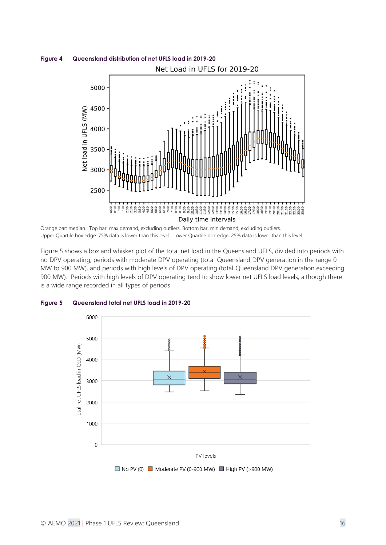<span id="page-15-0"></span>

Orange bar: median. Top bar: max demand, excluding outliers. Bottom bar, min demand, excluding outliers. Upper Quartile box edge: 75% data is lower than this level. Lower Quartile box edge, 25% data is lower than this level.

[Figure 5](#page-15-1) shows a box and whisker plot of the total net load in the Queensland UFLS, divided into periods with no DPV operating, periods with moderate DPV operating (total Queensland DPV generation in the range 0 MW to 900 MW), and periods with high levels of DPV operating (total Queensland DPV generation exceeding 900 MW). Periods with high levels of DPV operating tend to show lower net UFLS load levels, although there is a wide range recorded in all types of periods.



#### <span id="page-15-1"></span>**Figure 5 Queensland total net UFLS load in 2019-20**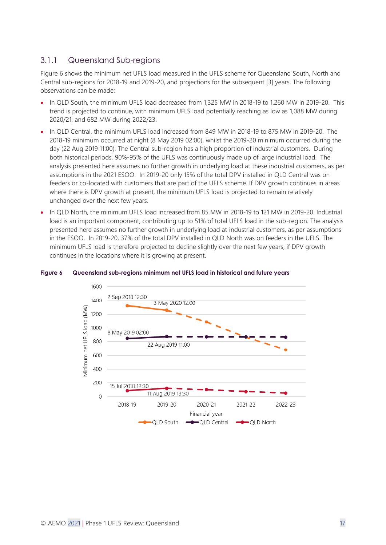# 3.1.1 Queensland Sub-regions

[Figure 6](#page-16-0) shows the minimum net UFLS load measured in the UFLS scheme for Queensland South, North and Central sub-regions for 2018-19 and 2019-20, and projections for the subsequent [3] years. The following observations can be made:

- In QLD South, the minimum UFLS load decreased from 1,325 MW in 2018-19 to 1,260 MW in 2019-20. This trend is projected to continue, with minimum UFLS load potentially reaching as low as 1,088 MW during 2020/21, and 682 MW during 2022/23.
- In QLD Central, the minimum UFLS load increased from 849 MW in 2018-19 to 875 MW in 2019-20. The 2018-19 minimum occurred at night (8 May 2019 02:00), whilst the 2019-20 minimum occurred during the day (22 Aug 2019 11:00). The Central sub-region has a high proportion of industrial customers. During both historical periods, 90%-95% of the UFLS was continuously made up of large industrial load. The analysis presented here assumes no further growth in underlying load at these industrial customers, as per assumptions in the 2021 ESOO. In 2019-20 only 15% of the total DPV installed in QLD Central was on feeders or co-located with customers that are part of the UFLS scheme. If DPV growth continues in areas where there is DPV growth at present, the minimum UFLS load is projected to remain relatively unchanged over the next few years.
- In QLD North, the minimum UFLS load increased from 85 MW in 2018-19 to 121 MW in 2019-20. Industrial load is an important component, contributing up to 51% of total UFLS load in the sub-region. The analysis presented here assumes no further growth in underlying load at industrial customers, as per assumptions in the ESOO. In 2019-20, 37% of the total DPV installed in QLD North was on feeders in the UFLS. The minimum UFLS load is therefore projected to decline slightly over the next few years, if DPV growth continues in the locations where it is growing at present.

<span id="page-16-1"></span>

### <span id="page-16-0"></span>**Figure 6 Queensland sub-regions minimum net UFLS load in historical and future years**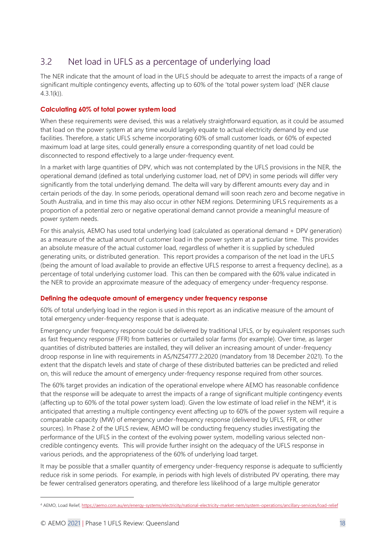# <span id="page-17-0"></span>3.2 Net load in UFLS as a percentage of underlying load

The NER indicate that the amount of load in the UFLS should be adequate to arrest the impacts of a range of significant multiple contingency events, affecting up to 60% of the 'total power system load' (NER clause 4.3.1(k)).

# **Calculating 60% of total power system load**

When these requirements were devised, this was a relatively straightforward equation, as it could be assumed that load on the power system at any time would largely equate to actual electricity demand by end use facilities. Therefore, a static UFLS scheme incorporating 60% of small customer loads, or 60% of expected maximum load at large sites, could generally ensure a corresponding quantity of net load could be disconnected to respond effectively to a large under-frequency event.

In a market with large quantities of DPV, which was not contemplated by the UFLS provisions in the NER, the operational demand (defined as total underlying customer load, net of DPV) in some periods will differ very significantly from the total underlying demand. The delta will vary by different amounts every day and in certain periods of the day. In some periods, operational demand will soon reach zero and become negative in South Australia, and in time this may also occur in other NEM regions. Determining UFLS requirements as a proportion of a potential zero or negative operational demand cannot provide a meaningful measure of power system needs.

For this analysis, AEMO has used total underlying load (calculated as operational demand + DPV generation) as a measure of the actual amount of customer load in the power system at a particular time. This provides an absolute measure of the actual customer load, regardless of whether it is supplied by scheduled generating units, or distributed generation. This report provides a comparison of the net load in the UFLS (being the amount of load available to provide an effective UFLS response to arrest a frequency decline), as a percentage of total underlying customer load. This can then be compared with the 60% value indicated in the NER to provide an approximate measure of the adequacy of emergency under-frequency response.

## **Defining the adequate amount of emergency under frequency response**

60% of total underlying load in the region is used in this report as an indicative measure of the amount of total emergency under-frequency response that is adequate.

Emergency under frequency response could be delivered by traditional UFLS, or by equivalent responses such as fast frequency response (FFR) from batteries or curtailed solar farms (for example). Over time, as larger quantities of distributed batteries are installed, they will deliver an increasing amount of under-frequency droop response in line with requirements in AS/NZS4777.2:2020 (mandatory from 18 December 2021). To the extent that the dispatch levels and state of charge of these distributed batteries can be predicted and relied on, this will reduce the amount of emergency under-frequency response required from other sources.

The 60% target provides an indication of the operational envelope where AEMO has reasonable confidence that the response will be adequate to arrest the impacts of a range of significant multiple contingency events (affecting up to 60% of the total power system load). Given the low estimate of load relief in the NEM<sup>4</sup>, it is anticipated that arresting a multiple contingency event affecting up to 60% of the power system will require a comparable capacity (MW) of emergency under-frequency response (delivered by UFLS, FFR, or other sources). In Phase 2 of the UFLS review, AEMO will be conducting frequency studies investigating the performance of the UFLS in the context of the evolving power system, modelling various selected noncredible contingency events. This will provide further insight on the adequacy of the UFLS response in various periods, and the appropriateness of the 60% of underlying load target.

It may be possible that a smaller quantity of emergency under-frequency response is adequate to sufficiently reduce risk in some periods. For example, in periods with high levels of distributed PV operating, there may be fewer centralised generators operating, and therefore less likelihood of a large multiple generator

<sup>4</sup> AEMO, Load Relief[, https://aemo.com.au/en/energy-systems/electricity/national-electricity-market-nem/system-operations/ancillary-services/load-relief](https://aemo.com.au/en/energy-systems/electricity/national-electricity-market-nem/system-operations/ancillary-services/load-relief)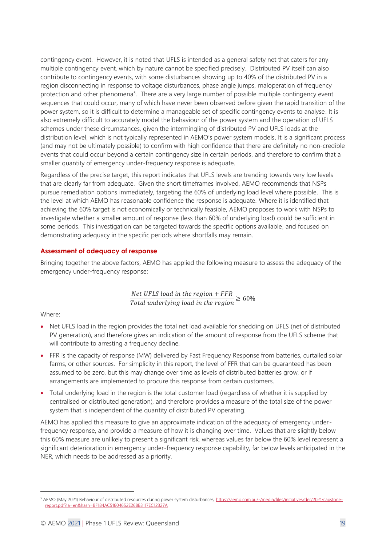contingency event. However, it is noted that UFLS is intended as a general safety net that caters for any multiple contingency event, which by nature cannot be specified precisely. Distributed PV itself can also contribute to contingency events, with some disturbances showing up to 40% of the distributed PV in a region disconnecting in response to voltage disturbances, phase angle jumps, maloperation of frequency protection and other phenomena<sup>5</sup>. There are a very large number of possible multiple contingency event sequences that could occur, many of which have never been observed before given the rapid transition of the power system, so it is difficult to determine a manageable set of specific contingency events to analyse. It is also extremely difficult to accurately model the behaviour of the power system and the operation of UFLS schemes under these circumstances, given the intermingling of distributed PV and UFLS loads at the distribution level, which is not typically represented in AEMO's power system models. It is a significant process (and may not be ultimately possible) to confirm with high confidence that there are definitely no non-credible events that could occur beyond a certain contingency size in certain periods, and therefore to confirm that a smaller quantity of emergency under-frequency response is adequate.

Regardless of the precise target, this report indicates that UFLS levels are trending towards very low levels that are clearly far from adequate. Given the short timeframes involved, AEMO recommends that NSPs pursue remediation options immediately, targeting the 60% of underlying load level where possible. This is the level at which AEMO has reasonable confidence the response is adequate. Where it is identified that achieving the 60% target is not economically or technically feasible, AEMO proposes to work with NSPs to investigate whether a smaller amount of response (less than 60% of underlying load) could be sufficient in some periods. This investigation can be targeted towards the specific options available, and focused on demonstrating adequacy in the specific periods where shortfalls may remain.

## **Assessment of adequacy of response**

Bringing together the above factors, AEMO has applied the following measure to assess the adequacy of the emergency under-frequency response:

> $Net UFLS$  load in the  $region + FFR$  $\frac{1}{\pi}$   $\frac{1}{\pi}$   $\frac{1}{\pi}$   $\frac{1}{\pi}$   $\frac{1}{\pi}$   $\frac{1}{\pi}$   $\frac{1}{\pi}$   $\frac{1}{\pi}$   $\frac{1}{\pi}$   $\frac{1}{\pi}$   $\frac{1}{\pi}$   $\frac{1}{\pi}$   $\frac{1}{\pi}$   $\frac{1}{\pi}$   $\frac{1}{\pi}$   $\frac{1}{\pi}$   $\frac{1}{\pi}$   $\frac{1}{\pi}$   $\frac{1}{\pi}$   $\frac{1}{\pi}$

Where:

- Net UFLS load in the region provides the total net load available for shedding on UFLS (net of distributed PV generation), and therefore gives an indication of the amount of response from the UFLS scheme that will contribute to arresting a frequency decline.
- FFR is the capacity of response (MW) delivered by Fast Frequency Response from batteries, curtailed solar farms, or other sources. For simplicity in this report, the level of FFR that can be guaranteed has been assumed to be zero, but this may change over time as levels of distributed batteries grow, or if arrangements are implemented to procure this response from certain customers.
- Total underlying load in the region is the total customer load (regardless of whether it is supplied by centralised or distributed generation), and therefore provides a measure of the total size of the power system that is independent of the quantity of distributed PV operating.

AEMO has applied this measure to give an approximate indication of the adequacy of emergency underfrequency response, and provide a measure of how it is changing over time. Values that are slightly below this 60% measure are unlikely to present a significant risk, whereas values far below the 60% level represent a significant deterioration in emergency under-frequency response capability, far below levels anticipated in the NER, which needs to be addressed as a priority.

<sup>5</sup> AEMO (May 2021) Behaviour of distributed resources during power system disturbances[, https://aemo.com.au/-/media/files/initiatives/der/2021/capstone](https://aemo.com.au/-/media/files/initiatives/der/2021/capstone-report.pdf?la=en&hash=BF184AC51804652E268B3117EC12327A)[report.pdf?la=en&hash=BF184AC51804652E268B3117EC12327A](https://aemo.com.au/-/media/files/initiatives/der/2021/capstone-report.pdf?la=en&hash=BF184AC51804652E268B3117EC12327A)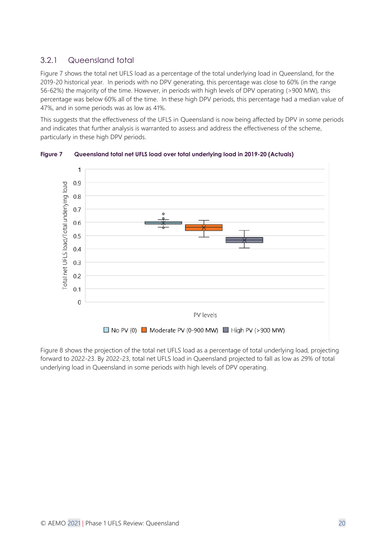# 3.2.1 Queensland total

[Figure 7](#page-19-0) shows the total net UFLS load as a percentage of the total underlying load in Queensland, for the 2019-20 historical year. In periods with no DPV generating, this percentage was close to 60% (in the range 56-62%) the majority of the time. However, in periods with high levels of DPV operating (>900 MW), this percentage was below 60% all of the time. In these high DPV periods, this percentage had a median value of 47%, and in some periods was as low as 41%.

This suggests that the effectiveness of the UFLS in Queensland is now being affected by DPV in some periods and indicates that further analysis is warranted to assess and address the effectiveness of the scheme, particularly in these high DPV periods.

<span id="page-19-0"></span>

**Figure 7 Queensland total net UFLS load over total underlying load in 2019-20 (Actuals)**

[Figure 8](#page-20-1) shows the projection of the total net UFLS load as a percentage of total underlying load, projecting forward to 2022-23. By 2022-23, total net UFLS load in Queensland projected to fall as low as 29% of total underlying load in Queensland in some periods with high levels of DPV operating.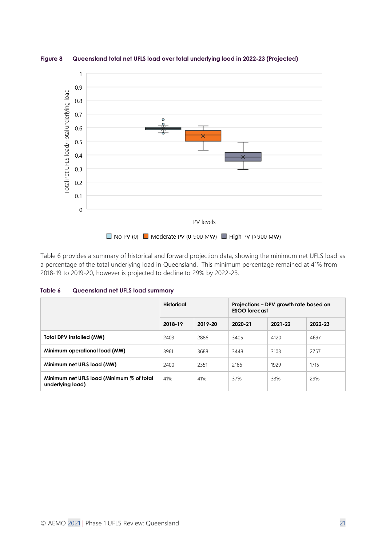

<span id="page-20-1"></span>**Figure 8 Queensland total net UFLS load over total underlying load in 2022-23 (Projected)**

[Table 6](#page-20-0) provides a summary of historical and forward projection data, showing the minimum net UFLS load as a percentage of the total underlying load in Queensland. This minimum percentage remained at 41% from 2018-19 to 2019-20, however is projected to decline to 29% by 2022-23.

<span id="page-20-0"></span>

| Table 6 | Queensland net UFLS load summary |  |  |  |
|---------|----------------------------------|--|--|--|
|---------|----------------------------------|--|--|--|

|                                                               | Historical |         | Projections - DPV growth rate based on<br><b>ESOO</b> forecast |         |         |
|---------------------------------------------------------------|------------|---------|----------------------------------------------------------------|---------|---------|
|                                                               | 2018-19    | 2019-20 | 2020-21                                                        | 2021-22 | 2022-23 |
| <b>Total DPV installed (MW)</b>                               | 2403       | 2886    | 3405                                                           | 4120    | 4697    |
| Minimum operational load (MW)                                 | 3961       | 3688    | 3448                                                           | 3103    | 2757    |
| Minimum net UFLS load (MW)                                    | 2400       | 2351    | 2166                                                           | 1929    | 1715    |
| Minimum net UFLS load (Minimum % of total<br>underlying load) | 41%        | 41%     | 37%                                                            | 33%     | 29%     |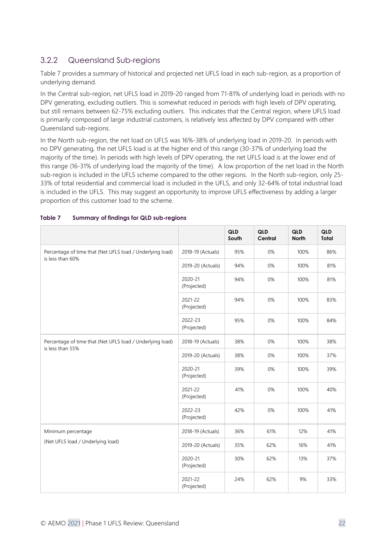# 3.2.2 Queensland Sub-regions

[Table 7](#page-21-0) provides a summary of historical and projected net UFLS load in each sub-region, as a proportion of underlying demand.

In the Central sub-region, net UFLS load in 2019-20 ranged from 71-81% of underlying load in periods with no DPV generating, excluding outliers. This is somewhat reduced in periods with high levels of DPV operating, but still remains between 62-75% excluding outliers. This indicates that the Central region, where UFLS load is primarily composed of large industrial customers, is relatively less affected by DPV compared with other Queensland sub-regions.

In the North sub-region, the net load on UFLS was 16%-38% of underlying load in 2019-20. In periods with no DPV generating, the net UFLS load is at the higher end of this range (30-37% of underlying load the majority of the time). In periods with high levels of DPV operating, the net UFLS load is at the lower end of this range (16-31% of underlying load the majority of the time). A low proportion of the net load in the North sub-region is included in the UFLS scheme compared to the other regions. In the North sub-region, only 25- 33% of total residential and commercial load is included in the UFLS, and only 32-64% of total industrial load is included in the UFLS. This may suggest an opportunity to improve UFLS effectiveness by adding a larger proportion of this customer load to the scheme.

|                                                                               |                        | <b>QLD</b><br>South | <b>QLD</b><br>Central | QLD<br><b>North</b> | QLD<br>Total |
|-------------------------------------------------------------------------------|------------------------|---------------------|-----------------------|---------------------|--------------|
| Percentage of time that (Net UFLS load / Underlying load)<br>is less than 60% | 2018-19 (Actuals)      | 95%                 | 0%                    | 100%                | 86%          |
|                                                                               | 2019-20 (Actuals)      | 94%                 | 0%                    | 100%                | 81%          |
|                                                                               | 2020-21<br>(Projected) | 94%                 | 0%                    | 100%                | 81%          |
|                                                                               | 2021-22<br>(Projected) | 94%                 | 0%                    | 100%                | 83%          |
|                                                                               | 2022-23<br>(Projected) | 95%                 | 0%                    | 100%                | 84%          |
| Percentage of time that (Net UFLS load / Underlying load)                     | 2018-19 (Actuals)      | 38%                 | 0%                    | 100%                | 38%          |
| is less than 55%                                                              | 2019-20 (Actuals)      | 38%                 | 0%                    | 100%                | 37%          |
|                                                                               | 2020-21<br>(Projected) | 39%                 | 0%                    | 100%                | 39%          |
|                                                                               | 2021-22<br>(Projected) | 41%                 | 0%                    | 100%                | 40%          |
|                                                                               | 2022-23<br>(Projected) | 42%                 | 0%                    | 100%                | 41%          |
| Minimum percentage                                                            | 2018-19 (Actuals)      | 36%                 | 61%                   | 12%                 | 41%          |
| (Net UFLS load / Underlying load)                                             | 2019-20 (Actuals)      | 35%                 | 62%                   | 16%                 | 41%          |
|                                                                               | 2020-21<br>(Projected) | 30%                 | 62%                   | 13%                 | 37%          |
|                                                                               | 2021-22<br>(Projected) | 24%                 | 62%                   | 9%                  | 33%          |

#### <span id="page-21-0"></span>**Table 7 Summary of findings for QLD sub-regions**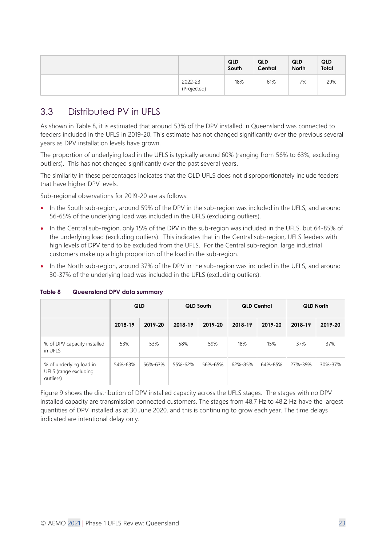|                        | <b>QLD</b><br>South | <b>QLD</b><br>Central | QLD<br><b>North</b> | QLD<br>Total |
|------------------------|---------------------|-----------------------|---------------------|--------------|
| 2022-23<br>(Projected) | 18%                 | 61%                   | 7%                  | 29%          |

# <span id="page-22-0"></span>3.3 Distributed PV in UFLS

As shown in [Table 8,](#page-22-1) it is estimated that around 53% of the DPV installed in Queensland was connected to feeders included in the UFLS in 2019-20. This estimate has not changed significantly over the previous several years as DPV installation levels have grown.

The proportion of underlying load in the UFLS is typically around 60% (ranging from 56% to 63%, excluding outliers). This has not changed significantly over the past several years.

The similarity in these percentages indicates that the QLD UFLS does not disproportionately include feeders that have higher DPV levels.

Sub-regional observations for 2019-20 are as follows:

- In the South sub-region, around 59% of the DPV in the sub-region was included in the UFLS, and around 56-65% of the underlying load was included in the UFLS (excluding outliers).
- In the Central sub-region, only 15% of the DPV in the sub-region was included in the UFLS, but 64-85% of the underlying load (excluding outliers). This indicates that in the Central sub-region, UFLS feeders with high levels of DPV tend to be excluded from the UFLS. For the Central sub-region, large industrial customers make up a high proportion of the load in the sub-region.
- In the North sub-region, around 37% of the DPV in the sub-region was included in the UFLS, and around 30-37% of the underlying load was included in the UFLS (excluding outliers).

|                                                               | QLD     |         | QLD South |         | <b>QLD Central</b> |         | <b>QLD North</b> |         |
|---------------------------------------------------------------|---------|---------|-----------|---------|--------------------|---------|------------------|---------|
|                                                               | 2018-19 | 2019-20 | 2018-19   | 2019-20 | 2018-19            | 2019-20 | 2018-19          | 2019-20 |
| % of DPV capacity installed<br>in UFLS                        | 53%     | 53%     | 58%       | 59%     | 18%                | 15%     | 37%              | 37%     |
| % of underlying load in<br>UFLS (range excluding<br>outliers) | 54%-63% | 56%-63% | 55%-62%   | 56%-65% | 62%-85%            | 64%-85% | 27%-39%          | 30%-37% |

### <span id="page-22-1"></span>**Table 8 Queensland DPV data summary**

[Figure 9](#page-23-1) shows the distribution of DPV installed capacity across the UFLS stages. The stages with no DPV installed capacity are transmission connected customers. The stages from 48.7 Hz to 48.2 Hz have the largest quantities of DPV installed as at 30 June 2020, and this is continuing to grow each year. The time delays indicated are intentional delay only.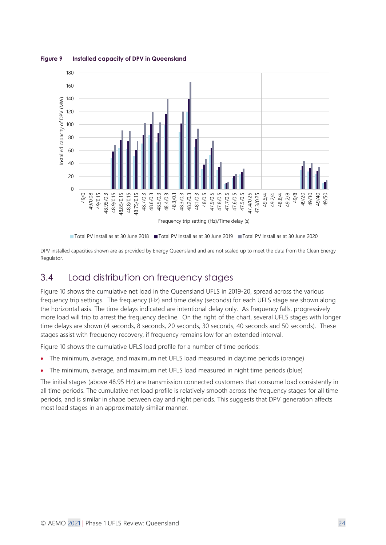

<span id="page-23-1"></span>**Figure 9 Installed capacity of DPV in Queensland**

DPV installed capacities shown are as provided by Energy Queensland and are not scaled up to meet the data from the Clean Energy Regulator.

# <span id="page-23-0"></span>3.4 Load distribution on frequency stages

[Figure 10](#page-24-0) shows the cumulative net load in the Queensland UFLS in 2019-20, spread across the various frequency trip settings. The frequency (Hz) and time delay (seconds) for each UFLS stage are shown along the horizontal axis. The time delays indicated are intentional delay only. As frequency falls, progressively more load will trip to arrest the frequency decline. On the right of the chart, several UFLS stages with longer time delays are shown (4 seconds, 8 seconds, 20 seconds, 30 seconds, 40 seconds and 50 seconds). These stages assist with frequency recovery, if frequency remains low for an extended interval.

Figure 10 shows the cumulative UFLS load profile for a number of time periods:

- The minimum, average, and maximum net UFLS load measured in daytime periods (orange)
- The minimum, average, and maximum net UFLS load measured in night time periods (blue)

The initial stages (above 48.95 Hz) are transmission connected customers that consume load consistently in all time periods. The cumulative net load profile is relatively smooth across the frequency stages for all time periods, and is similar in shape between day and night periods. This suggests that DPV generation affects most load stages in an approximately similar manner.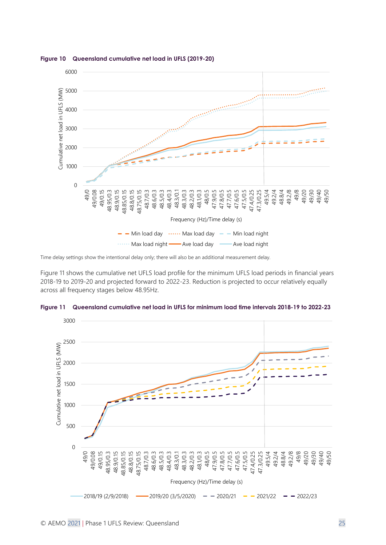

<span id="page-24-0"></span>**Figure 10 Queensland cumulative net load in UFLS (2019-20)**

Time delay settings show the intentional delay only; there will also be an additional measurement delay.

[Figure 11](#page-24-1) shows the cumulative net UFLS load profile for the minimum UFLS load periods in financial years 2018-19 to 2019-20 and projected forward to 2022-23. Reduction is projected to occur relatively equally across all frequency stages below 48.95Hz.



<span id="page-24-1"></span>**Figure 11 Queensland cumulative net load in UFLS for minimum load time intervals 2018-19 to 2022-23**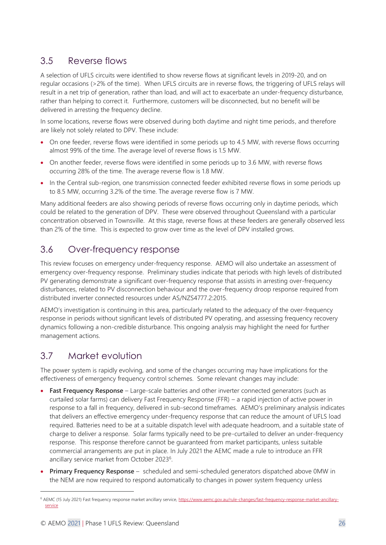# <span id="page-25-0"></span>3.5 Reverse flows

A selection of UFLS circuits were identified to show reverse flows at significant levels in 2019-20, and on regular occasions (>2% of the time). When UFLS circuits are in reverse flows, the triggering of UFLS relays will result in a net trip of generation, rather than load, and will act to exacerbate an under-frequency disturbance, rather than helping to correct it. Furthermore, customers will be disconnected, but no benefit will be delivered in arresting the frequency decline.

In some locations, reverse flows were observed during both daytime and night time periods, and therefore are likely not solely related to DPV. These include:

- On one feeder, reverse flows were identified in some periods up to 4.5 MW, with reverse flows occurring almost 99% of the time. The average level of reverse flows is 1.5 MW.
- On another feeder, reverse flows were identified in some periods up to 3.6 MW, with reverse flows occurring 28% of the time. The average reverse flow is 1.8 MW.
- In the Central sub-region, one transmission connected feeder exhibited reverse flows in some periods up to 8.5 MW, occurring 3.2% of the time. The average reverse flow is 7 MW.

Many additional feeders are also showing periods of reverse flows occurring only in daytime periods, which could be related to the generation of DPV. These were observed throughout Queensland with a particular concentration observed in Townsville. At this stage, reverse flows at these feeders are generally observed less than 2% of the time. This is expected to grow over time as the level of DPV installed grows.

# <span id="page-25-1"></span>3.6 Over-frequency response

This review focuses on emergency under-frequency response. AEMO will also undertake an assessment of emergency over-frequency response. Preliminary studies indicate that periods with high levels of distributed PV generating demonstrate a significant over-frequency response that assists in arresting over-frequency disturbances, related to PV disconnection behaviour and the over-frequency droop response required from distributed inverter connected resources under AS/NZS4777.2:2015.

AEMO's investigation is continuing in this area, particularly related to the adequacy of the over-frequency response in periods without significant levels of distributed PV operating, and assessing frequency recovery dynamics following a non-credible disturbance. This ongoing analysis may highlight the need for further management actions.

# <span id="page-25-2"></span>3.7 Market evolution

The power system is rapidly evolving, and some of the changes occurring may have implications for the effectiveness of emergency frequency control schemes. Some relevant changes may include:

- **Fast Frequency Response** Large-scale batteries and other inverter connected generators (such as curtailed solar farms) can delivery Fast Frequency Response (FFR) – a rapid injection of active power in response to a fall in frequency, delivered in sub-second timeframes. AEMO's preliminary analysis indicates that delivers an effective emergency under-frequency response that can reduce the amount of UFLS load required. Batteries need to be at a suitable dispatch level with adequate headroom, and a suitable state of charge to deliver a response. Solar farms typically need to be pre-curtailed to deliver an under-frequency response. This response therefore cannot be guaranteed from market participants, unless suitable commercial arrangements are put in place. In July 2021 the AEMC made a rule to introduce an FFR ancillary service market from October 2023<sup>6</sup>.
- **Primary Frequency Response** scheduled and semi-scheduled generators dispatched above 0MW in the NEM are now required to respond automatically to changes in power system frequency unless

<sup>&</sup>lt;sup>6</sup> AEMC (15 July 2021) Fast frequency response market ancillary service[, https://www.aemc.gov.au/rule-changes/fast-frequency-response-market-ancillary](https://www.aemc.gov.au/rule-changes/fast-frequency-response-market-ancillary-service)[service](https://www.aemc.gov.au/rule-changes/fast-frequency-response-market-ancillary-service)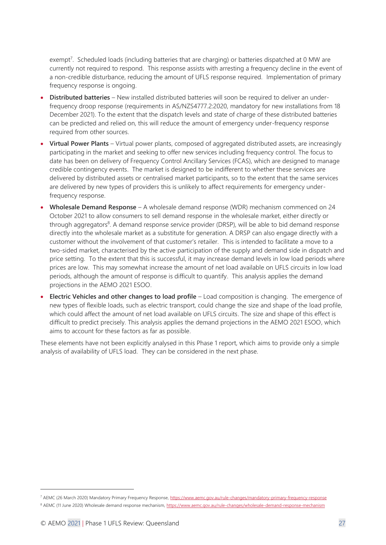exempt<sup>7</sup>. Scheduled loads (including batteries that are charging) or batteries dispatched at 0 MW are currently not required to respond. This response assists with arresting a frequency decline in the event of a non-credible disturbance, reducing the amount of UFLS response required. Implementation of primary frequency response is ongoing.

- **Distributed batteries** New installed distributed batteries will soon be required to deliver an underfrequency droop response (requirements in AS/NZS4777.2:2020, mandatory for new installations from 18 December 2021). To the extent that the dispatch levels and state of charge of these distributed batteries can be predicted and relied on, this will reduce the amount of emergency under-frequency response required from other sources.
- **Virtual Power Plants** Virtual power plants, composed of aggregated distributed assets, are increasingly participating in the market and seeking to offer new services including frequency control. The focus to date has been on delivery of Frequency Control Ancillary Services (FCAS), which are designed to manage credible contingency events. The market is designed to be indifferent to whether these services are delivered by distributed assets or centralised market participants, so to the extent that the same services are delivered by new types of providers this is unlikely to affect requirements for emergency underfrequency response.
- **Wholesale Demand Response** A wholesale demand response (WDR) mechanism commenced on 24 October 2021 to allow consumers to sell demand response in the wholesale market, either directly or through aggregators<sup>8</sup>. A demand response service provider (DRSP), will be able to bid demand response directly into the wholesale market as a substitute for generation. A DRSP can also engage directly with a customer without the involvement of that customer's retailer. This is intended to facilitate a move to a two-sided market, characterised by the active participation of the supply and demand side in dispatch and price setting. To the extent that this is successful, it may increase demand levels in low load periods where prices are low. This may somewhat increase the amount of net load available on UFLS circuits in low load periods, although the amount of response is difficult to quantify. This analysis applies the demand projections in the AEMO 2021 ESOO.
- **Electric Vehicles and other changes to load profile** Load composition is changing. The emergence of new types of flexible loads, such as electric transport, could change the size and shape of the load profile, which could affect the amount of net load available on UFLS circuits. The size and shape of this effect is difficult to predict precisely. This analysis applies the demand projections in the AEMO 2021 ESOO, which aims to account for these factors as far as possible.

These elements have not been explicitly analysed in this Phase 1 report, which aims to provide only a simple analysis of availability of UFLS load. They can be considered in the next phase.

<sup>&</sup>lt;sup>7</sup> AEMC (26 March 2020) Mandatory Primary Frequency Response[, https://www.aemc.gov.au/rule-changes/mandatory-primary-frequency-response](https://www.aemc.gov.au/rule-changes/mandatory-primary-frequency-response) <sup>8</sup> AEMC (11 June 2020) Wholesale demand response mechanism,<https://www.aemc.gov.au/rule-changes/wholesale-demand-response-mechanism>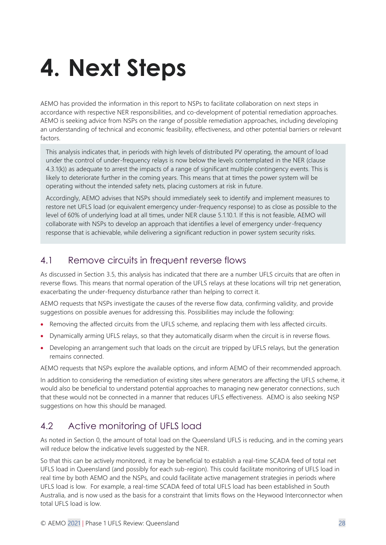# <span id="page-27-0"></span>**4. Next Steps**

AEMO has provided the information in this report to NSPs to facilitate collaboration on next steps in accordance with respective NER responsibilities, and co-development of potential remediation approaches. AEMO is seeking advice from NSPs on the range of possible remediation approaches, including developing an understanding of technical and economic feasibility, effectiveness, and other potential barriers or relevant factors.

This analysis indicates that, in periods with high levels of distributed PV operating, the amount of load under the control of under-frequency relays is now below the levels contemplated in the NER (clause 4.3.1(k)) as adequate to arrest the impacts of a range of significant multiple contingency events. This is likely to deteriorate further in the coming years. This means that at times the power system will be operating without the intended safety nets, placing customers at risk in future.

Accordingly, AEMO advises that NSPs should immediately seek to identify and implement measures to restore net UFLS load (or equivalent emergency under-frequency response) to as close as possible to the level of 60% of underlying load at all times, under NER clause 5.1.10.1. If this is not feasible, AEMO will collaborate with NSPs to develop an approach that identifies a level of emergency under-frequency response that is achievable, while delivering a significant reduction in power system security risks.

# <span id="page-27-1"></span>4.1 Remove circuits in frequent reverse flows

As discussed in Section [3.5,](#page-25-0) this analysis has indicated that there are a number UFLS circuits that are often in reverse flows. This means that normal operation of the UFLS relays at these locations will trip net generation, exacerbating the under-frequency disturbance rather than helping to correct it.

AEMO requests that NSPs investigate the causes of the reverse flow data, confirming validity, and provide suggestions on possible avenues for addressing this. Possibilities may include the following:

- Removing the affected circuits from the UFLS scheme, and replacing them with less affected circuits.
- Dynamically arming UFLS relays, so that they automatically disarm when the circuit is in reverse flows.
- Developing an arrangement such that loads on the circuit are tripped by UFLS relays, but the generation remains connected.

AEMO requests that NSPs explore the available options, and inform AEMO of their recommended approach.

In addition to considering the remediation of existing sites where generators are affecting the UFLS scheme, it would also be beneficial to understand potential approaches to managing new generator connections, such that these would not be connected in a manner that reduces UFLS effectiveness. AEMO is also seeking NSP suggestions on how this should be managed.

# <span id="page-27-2"></span>4.2 Active monitoring of UFLS load

As noted in Section [0,](#page-16-1) the amount of total load on the Queensland UFLS is reducing, and in the coming years will reduce below the indicative levels suggested by the NER.

So that this can be actively monitored, it may be beneficial to establish a real-time SCADA feed of total net UFLS load in Queensland (and possibly for each sub-region). This could facilitate monitoring of UFLS load in real time by both AEMO and the NSPs, and could facilitate active management strategies in periods where UFLS load is low. For example, a real-time SCADA feed of total UFLS load has been established in South Australia, and is now used as the basis for a constraint that limits flows on the Heywood Interconnector when total UFLS load is low.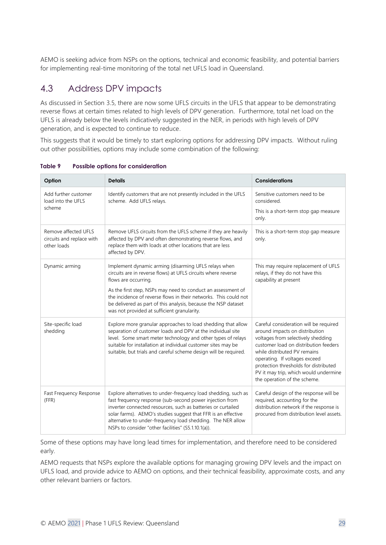AEMO is seeking advice from NSPs on the options, technical and economic feasibility, and potential barriers for implementing real-time monitoring of the total net UFLS load in Queensland.

# <span id="page-28-0"></span>4.3 Address DPV impacts

As discussed in Section [3.5,](#page-25-0) there are now some UFLS circuits in the UFLS that appear to be demonstrating reverse flows at certain times related to high levels of DPV generation. Furthermore, total net load on the UFLS is already below the levels indicatively suggested in the NER, in periods with high levels of DPV generation, and is expected to continue to reduce.

This suggests that it would be timely to start exploring options for addressing DPV impacts. Without ruling out other possibilities, options may include some combination of the following:

| Option                                                           | <b>Details</b>                                                                                                                                                                                                                                                                                                                                                                    | <b>Considerations</b>                                                                                                                                                                                                                                                                                                                      |
|------------------------------------------------------------------|-----------------------------------------------------------------------------------------------------------------------------------------------------------------------------------------------------------------------------------------------------------------------------------------------------------------------------------------------------------------------------------|--------------------------------------------------------------------------------------------------------------------------------------------------------------------------------------------------------------------------------------------------------------------------------------------------------------------------------------------|
| Add further customer<br>load into the UFLS                       | Identify customers that are not presently included in the UFLS<br>scheme. Add UFLS relays.                                                                                                                                                                                                                                                                                        | Sensitive customers need to be<br>considered.                                                                                                                                                                                                                                                                                              |
| scheme                                                           |                                                                                                                                                                                                                                                                                                                                                                                   | This is a short-term stop gap measure<br>only.                                                                                                                                                                                                                                                                                             |
| Remove affected UFLS<br>circuits and replace with<br>other loads | Remove UFLS circuits from the UFLS scheme if they are heavily<br>affected by DPV and often demonstrating reverse flows, and<br>replace them with loads at other locations that are less<br>affected by DPV.                                                                                                                                                                       | This is a short-term stop gap measure<br>only.                                                                                                                                                                                                                                                                                             |
| Dynamic arming                                                   | Implement dynamic arming (disarming UFLS relays when<br>circuits are in reverse flows) at UFLS circuits where reverse<br>flows are occurring.                                                                                                                                                                                                                                     | This may require replacement of UFLS<br>relays, if they do not have this<br>capability at present                                                                                                                                                                                                                                          |
|                                                                  | As the first step, NSPs may need to conduct an assessment of<br>the incidence of reverse flows in their networks. This could not<br>be delivered as part of this analysis, because the NSP dataset<br>was not provided at sufficient granularity.                                                                                                                                 |                                                                                                                                                                                                                                                                                                                                            |
| Site-specific load<br>shedding                                   | Explore more granular approaches to load shedding that allow<br>separation of customer loads and DPV at the individual site<br>level. Some smart meter technology and other types of relays<br>suitable for installation at individual customer sites may be<br>suitable, but trials and careful scheme design will be required.                                                  | Careful consideration will be required<br>around impacts on distribution<br>voltages from selectively shedding<br>customer load on distribution feeders<br>while distributed PV remains<br>operating. If voltages exceed<br>protection thresholds for distributed<br>PV it may trip, which would undermine<br>the operation of the scheme. |
| Fast Frequency Response<br>(FFR)                                 | Explore alternatives to under-frequency load shedding, such as<br>fast frequency response (sub-second power injection from<br>inverter connected resources, such as batteries or curtailed<br>solar farms). AEMO's studies suggest that FFR is an effective<br>alternative to under-frequency load shedding. The NER allow<br>NSPs to consider "other facilities" (S5.1.10.1(a)). | Careful design of the response will be<br>required, accounting for the<br>distribution network if the response is<br>procured from distribution level assets.                                                                                                                                                                              |

**Table 9 Possible options for consideration**

Some of these options may have long lead times for implementation, and therefore need to be considered early.

AEMO requests that NSPs explore the available options for managing growing DPV levels and the impact on UFLS load, and provide advice to AEMO on options, and their technical feasibility, approximate costs, and any other relevant barriers or factors.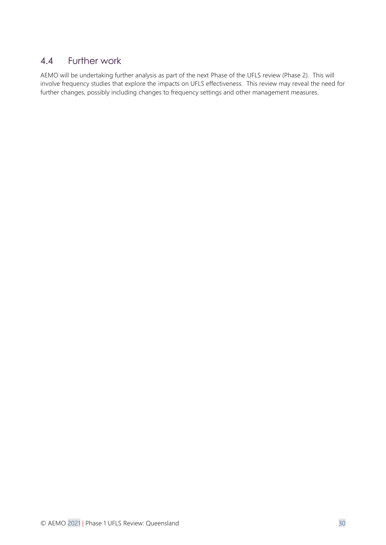# <span id="page-29-0"></span>4.4 Further work

AEMO will be undertaking further analysis as part of the next Phase of the UFLS review (Phase 2). This will involve frequency studies that explore the impacts on UFLS effectiveness. This review may reveal the need for further changes, possibly including changes to frequency settings and other management measures.